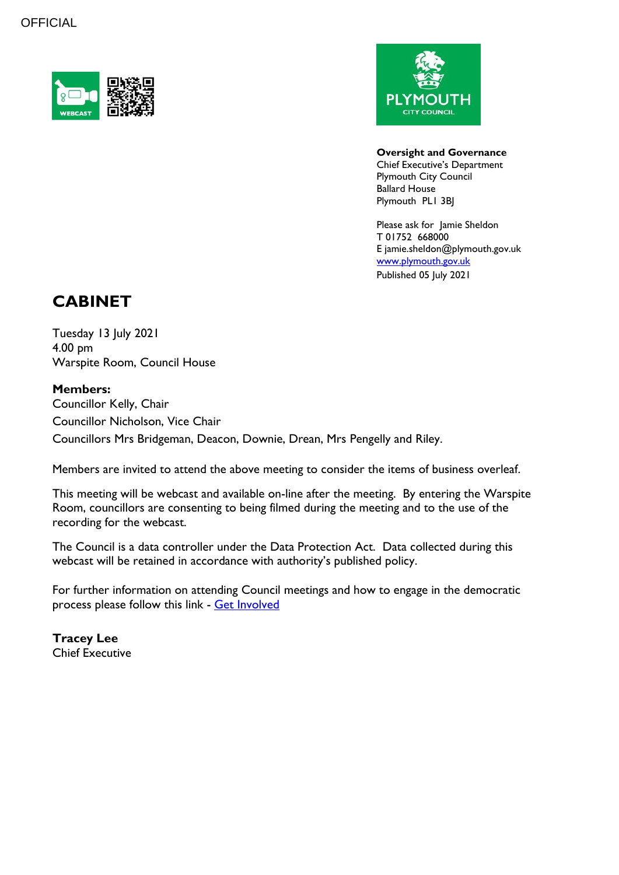



#### **Oversight and Governance**

Chief Executive's Department Plymouth City Council Ballard House Plymouth PL1 3BJ

Please ask for Jamie Sheldon T 01752 668000 E jamie.sheldon@plymouth.gov.uk [www.plymouth.gov.uk](https://www.plymouth.gov.uk/councillorscommitteesandmeetings) Published 05 July 2021

## **CABINET**

Tuesday 13 July 2021 4.00 pm Warspite Room, Council House

#### **Members:**

Councillor Kelly, Chair Councillor Nicholson, Vice Chair Councillors Mrs Bridgeman, Deacon, Downie, Drean, Mrs Pengelly and Riley.

Members are invited to attend the above meeting to consider the items of business overleaf.

This meeting will be webcast and available on-line after the meeting. By entering the Warspite Room, councillors are consenting to being filmed during the meeting and to the use of the recording for the webcast.

The Council is a data controller under the Data Protection Act. Data collected during this webcast will be retained in accordance with authority's published policy.

For further information on attending Council meetings and how to engage in the democratic process please follow this link - [Get Involved](https://www.plymouth.gov.uk/councillorscommitteesandmeetings/getinvolved)

**Tracey Lee** Chief Executive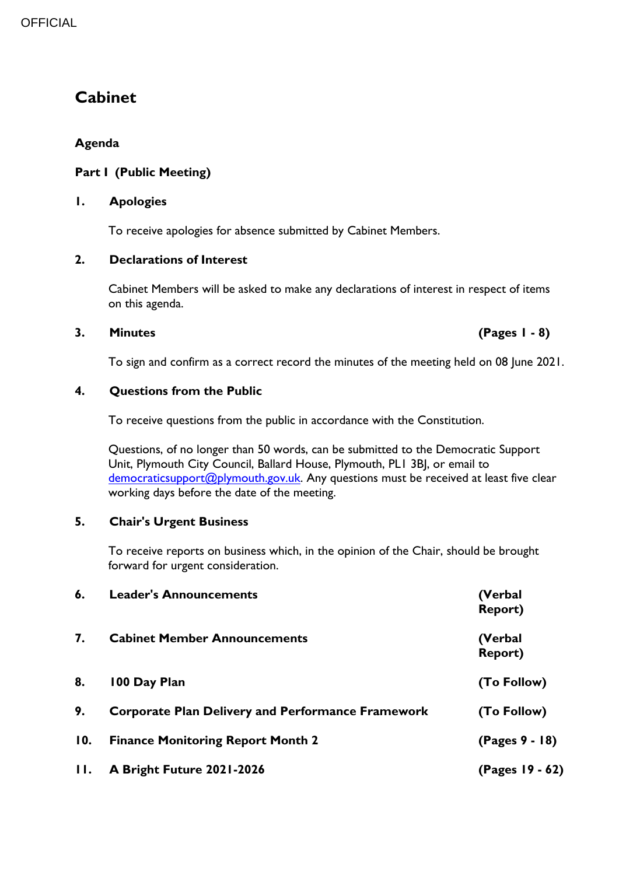# **Cabinet**

### **Agenda**

#### **Part I (Public Meeting)**

#### **1. Apologies**

To receive apologies for absence submitted by Cabinet Members.

#### **2. Declarations of Interest**

Cabinet Members will be asked to make any declarations of interest in respect of items on this agenda.

#### **3. Minutes (Pages 1 - 8)**

To sign and confirm as a correct record the minutes of the meeting held on 08 June 2021.

#### **4. Questions from the Public**

To receive questions from the public in accordance with the Constitution.

Questions, of no longer than 50 words, can be submitted to the Democratic Support Unit, Plymouth City Council, Ballard House, Plymouth, PL1 3BJ, or email to [democraticsupport@plymouth.gov.uk.](mailto:DEMOCRATICSUPPORT@PLYMOUTH.GOV.UK) Any questions must be received at least five clear working days before the date of the meeting.

### **5. Chair's Urgent Business**

To receive reports on business which, in the opinion of the Chair, should be brought forward for urgent consideration.

| 6.      | <b>Leader's Announcements</b>                            | (Verbal<br><b>Report)</b> |
|---------|----------------------------------------------------------|---------------------------|
| 7.      | <b>Cabinet Member Announcements</b>                      | (Verbal<br><b>Report)</b> |
| 8.      | 100 Day Plan                                             | (To Follow)               |
| 9.      | <b>Corporate Plan Delivery and Performance Framework</b> | (To Follow)               |
| 10.     | <b>Finance Monitoring Report Month 2</b>                 | (Pages 9 - 18)            |
| $\Pi$ . | A Bright Future 2021-2026                                | (Pages 19 - 62)           |